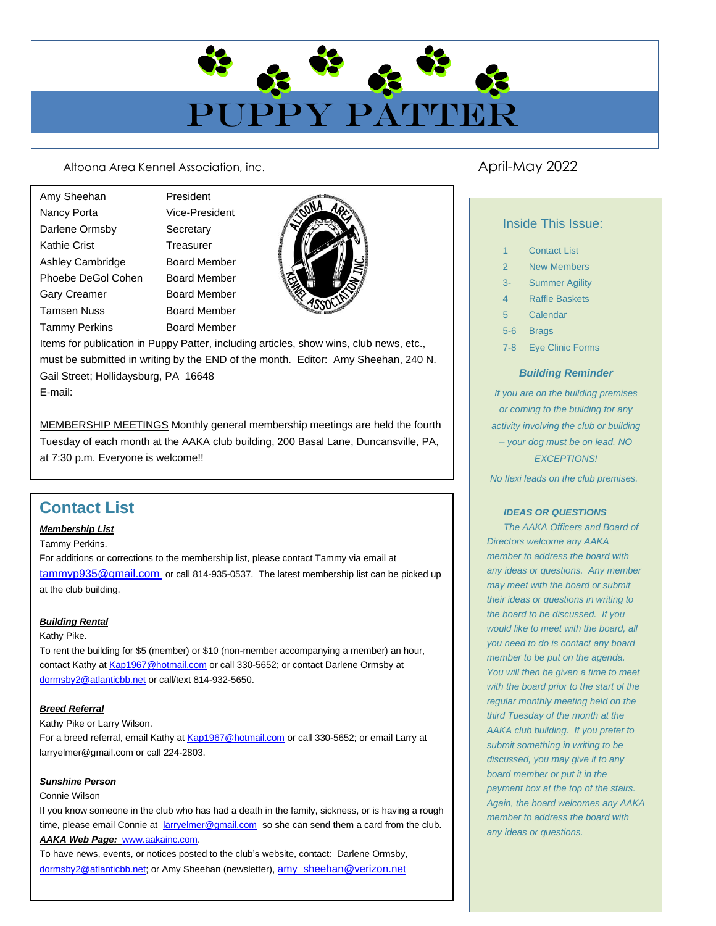# PUPPY PATTE

Altoona Area Kennel Association, inc. Altoona April-May 2022

Amy Sheehan President Nancy Porta **Vice-President** Darlene Ormsby Secretary Kathie Crist **Treasurer** Ashley Cambridge Board Member Phoebe DeGol Cohen Board Member Gary Creamer Board Member Tamsen Nuss Board Member Tammy Perkins Board Member



Items for publication in Puppy Patter, including articles, show wins, club news, etc., must be submitted in writing by the END of the month. Editor: Amy Sheehan, 240 N. Gail Street; Hollidaysburg, PA 16648

E-mail:

MEMBERSHIP MEETINGS Monthly general membership meetings are held the fourth<br>Tuesday of each month at the AAKA club building, 200 Basal Lane, Duncansville, PA,<br>at 7:30 p.m. Everyone is welcome!! Tuesday of each month at the AAKA club building, 200 Basal Lane, Duncansville, PA, at 7:30 p.m. Everyone is welcome!!

Any AAKA member is more than welcome to meet with the board to

# discuss a particular topic of interest or concern. The board will be glad to board will be glad to board will be glad to board will be glad to board will be glad to board will be glad to board will be glad to board will be

# meet with you prior to the start of the regular board meeting on the third *Membership List*

Tammy Perkins.

 $\overline{D}$ <br>  $\overline{D}$ <br>  $\overline{D}$ <br>  $\overline{D}$ <br>  $\overline{D}$ <br>  $\overline{D}$ <br>  $\overline{D}$ <br>  $\overline{D}$ <br>  $\overline{D}$ <br>  $\overline{D}$ <br>  $\overline{D}$ <br>  $\overline{D}$ <br>  $\overline{D}$ <br>  $\overline{D}$ <br>  $\overline{D}$ <br>  $\overline{D}$ <br>  $\overline{D}$ <br>  $\overline{D}$ <br>  $\overline{D}$ <br>  $\overline{D}$ <br>  $\overline{D}$ <br>  $\overline{D}$ <br> Tuesday of the month at 7:30 p.m. at 7:30 p.m. at 7:30 p.m. at 7:30 p.m. at the AAK club building. Please at 7:30 p.m. at 7:30 p.m. at 7:30 p.m. at 7:30 p.m. at 7:30 p.m. at 7:30 p.m. at 7:30 p.m. at 7:30 p.m. at 7:30 p.m. tor didentities or corrections to the moniportalip list; please contact Tammy via children at the picked up the monthly via children be picked up at the club building. For additions or corrections to the membership list, please contact Tammy via email at

# *Building Rental*

### Kathy Pike.

 $\begin{array}{|c|c|c|c|c|}\hline \text{P1} & \text{P2} & \text{P3} & \text{P4} & \text{P5} & \text{P6} & \text{P7} & \text{P8} & \text{P8} & \text{P9} & \text{P9} & \text{P1} & \text{P1} & \text{P1} & \text{P2} & \text{P3} & \text{P4} & \text{P5} & \text{P6} & \text{P7} & \text{P8} & \text{P8} & \text{P9} & \text{P1} & \text{P1} & \text{P1} & \text{P2} & \text{P3} & \text{P4$ To rent the building for \$5 (member) or \$10 (non-member accompanying a member) an hour, contact Kathy a[t Kap1967@hotmail.com](mailto:aussies4me@verizon.net) or call 330-5652; or contact Darlene Ormsby at [dormsby2@atlanticbb.net](mailto:dormsby2@atlanticbb.net) or call/text 814-932-5650.

# *Breed Referral*

Kathy Pike or Larry Wilson.

For a breed referral, email Kathy at [Kap1967@hotmail.com](mailto:aussies4me@verizon.net) or call 330-5652; or email Larry at larryelmer@gmail.com or call 224-2803.

# *Sunshine Person*

### Connie Wilson

**Sunshine Person**<br>
Connie Wilson<br>
If you know someone in the club who has had a death in the family, sickness, or is having a rough time, please email Connie at [larryelmer@gmail.com](mailto:larryelmer@gmail.com) so she can send them a card from the club. *AAKA Web Page:* [www.aakainc.com.](http://www.aakainc.com/)

To have news, events, or notices posted to the club's website, contact: Darlene Ormsby, [dormsby2@atlanticbb.net;](mailto:dormsby2@atlanticbb.net) or Amy Sheehan (newsletter), [amy\\_sheehan@verizon.net](mailto:amy.sheehan@mpiresearch.com)

# Inside This Issue:

| <b>Contact List</b><br>1 |
|--------------------------|
|--------------------------|

- 2 New Members
- 3- Summer Agility
- 4 Raffle Baskets
- 5 Calendar
- 5-6 Brags
- 7-8 Eye Clinic Forms

# *Building Reminder*

*If you are on the building premises or coming to the building for any activity involving the club or building – your dog must be on lead. NO EXCEPTIONS!*

*No flexi leads on the club premises.*

### *IDEAS OR QUESTIONS*

*The AAKA Officers and Board of Directors welcome any AAKA member to address the board with any ideas or questions. Any member may meet with the board or submit their ideas or questions in writing to the board to be discussed. If you would like to meet with the board, all you need to do is contact any board member to be put on the agenda. You will then be given a time to meet with the board prior to the start of the regular monthly meeting held on the third Tuesday of the month at the AAKA club building. If you prefer to submit something in writing to be discussed, you may give it to any board member or put it in the payment box at the top of the stairs. Again, the board welcomes any AAKA member to address the board with any ideas or questions.*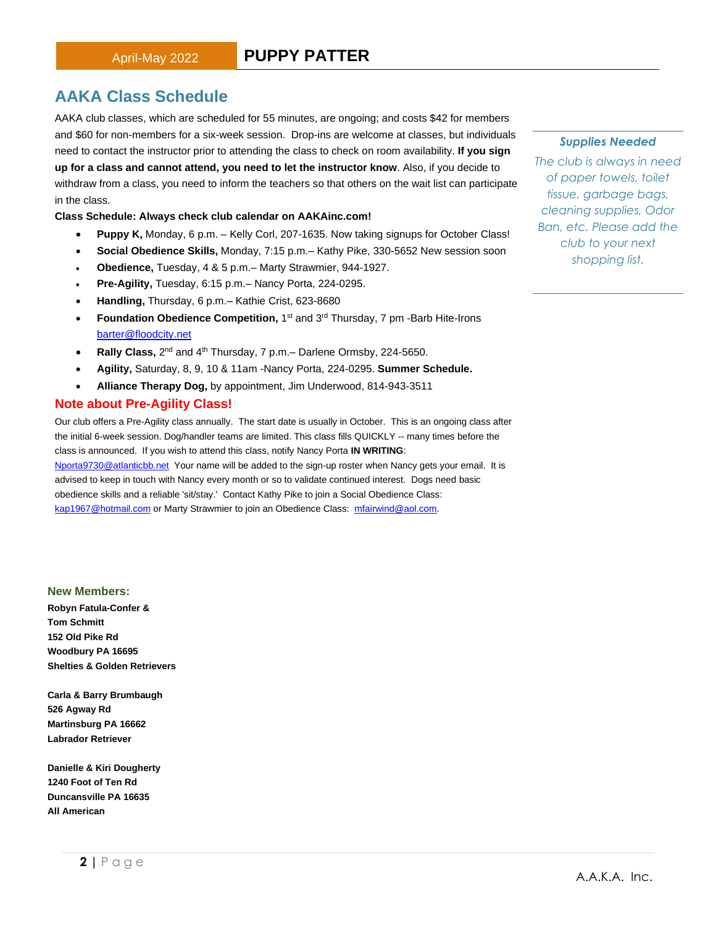# **AAKA Class Schedule**

AAKA club classes, which are scheduled for 55 minutes, are ongoing; and costs \$42 for members and \$60 for non-members for a six-week session. Drop-ins are welcome at classes, but individuals need to contact the instructor prior to attending the class to check on room availability. **If you sign up for a class and cannot attend, you need to let the instructor know**. Also, if you decide to withdraw from a class, you need to inform the teachers so that others on the wait list can participate in the class.

### **Class Schedule: Always check club calendar on AAKAinc.com!**

- **Puppy K,** Monday, 6 p.m. Kelly Corl, 207-1635. Now taking signups for October Class!
- **Social Obedience Skills,** Monday, 7:15 p.m.– Kathy Pike, 330-5652 New session soon
	- **Obedience,** Tuesday, 4 & 5 p.m.– Marty Strawmier, 944-1927.
	- **Pre-Agility,** Tuesday, 6:15 p.m.– Nancy Porta, 224-0295.
	- **Handling,** Thursday, 6 p.m.– Kathie Crist, 623-8680
	- Foundation Obedience Competition, 1<sup>st</sup> and 3<sup>rd</sup> Thursday, 7 pm -Barb Hite-Irons [barter@floodcity.net](mailto:barter@floodcity.net)
	- Rally Class, 2<sup>nd</sup> and 4<sup>th</sup> Thursday, 7 p.m.– Darlene Ormsby, 224-5650.
	- **Agility,** Saturday, 8, 9, 10 & 11am -Nancy Porta, 224-0295. **Summer Schedule.**
	- **Alliance Therapy Dog,** by appointment, Jim Underwood, 814-943-3511

# **Note about Pre-Agility Class!**

Our club offers a Pre-Agility class annually. The start date is usually in October. This is an ongoing class after the initial 6-week session. Dog/handler teams are limited. This class fills QUICKLY -- many times before the class is announced. If you wish to attend this class, notify Nancy Porta **IN WRITING**: [Nporta9730@atlanticbb.net](mailto:Nporta9730@atlanticbb.net) Your name will be added to the sign-up roster when Nancy gets your email. It is advised to keep in touch with Nancy every month or so to validate continued interest. Dogs need basic obedience skills and a reliable 'sit/stay.' Contact Kathy Pike to join a Social Obedience Class: [kap1967@hotmail.com](mailto:kap1967@hotmail.com) or Marty Strawmier to join an Obedience Class: [mfairwind@aol.com.](mailto:mfairwind@aol.com)

### **New Members:**

**Robyn Fatula-Confer & Tom Schmitt 152 Old Pike Rd Woodbury PA 16695 Shelties & Golden Retrievers**

**Carla & Barry Brumbaugh 526 Agway Rd Martinsburg PA 16662 Labrador Retriever**

**Danielle & Kiri Dougherty 1240 Foot of Ten Rd Duncansville PA 16635 All American**

### *Supplies Needed*

*The club is always in need of paper towels, toilet tissue, garbage bags, cleaning supplies, Odor Ban, etc. Please add the club to your next shopping list.*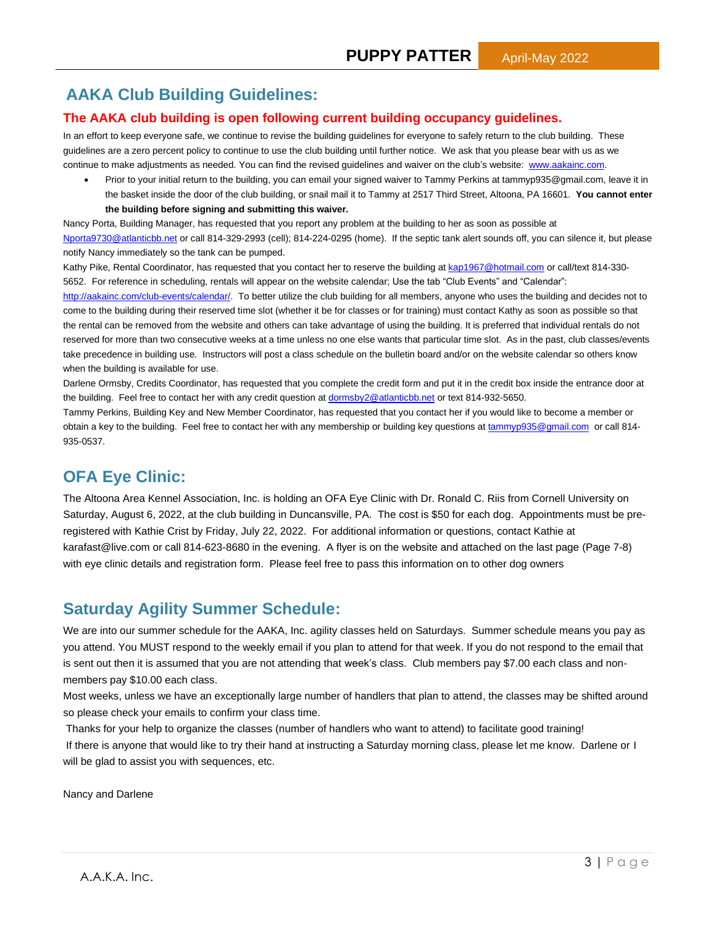# **AAKA Club Building Guidelines:**

# **The AAKA club building is open following current building occupancy guidelines.**

In an effort to keep everyone safe, we continue to revise the building guidelines for everyone to safely return to the club building. These guidelines are a zero percent policy to continue to use the club building until further notice. We ask that you please bear with us as we continue to make adjustments as needed. You can find the revised guidelines and waiver on the club's website: [www.aakainc.com.](http://www.aakainc.com/)

• Prior to your initial return to the building, you can email your signed waiver to Tammy Perkins at tammyp935@gmail.com, leave it in the basket inside the door of the club building, or snail mail it to Tammy at 2517 Third Street, Altoona, PA 16601. **You cannot enter the building before signing and submitting this waiver.**

Nancy Porta, Building Manager, has requested that you report any problem at the building to her as soon as possible at [Nporta9730@atlanticbb.net](mailto:Nporta9730@atlanticbb.net) or call 814-329-2993 (cell); 814-224-0295 (home). If the septic tank alert sounds off, you can silence it, but please notify Nancy immediately so the tank can be pumped.

Kathy Pike, Rental Coordinator, has requested that you contact her to reserve the building a[t kap1967@hotmail.com](mailto:kap1967@hotmail.com) or call/text 814-330-5652. For reference in scheduling, rentals will appear on the website calendar; Use the tab "Club Events" and "Calendar":

[http://aakainc.com/club-events/calendar/.](http://aakainc.com/club-events/calendar/) To better utilize the club building for all members, anyone who uses the building and decides not to come to the building during their reserved time slot (whether it be for classes or for training) must contact Kathy as soon as possible so that the rental can be removed from the website and others can take advantage of using the building. It is preferred that individual rentals do not reserved for more than two consecutive weeks at a time unless no one else wants that particular time slot. As in the past, club classes/events take precedence in building use. Instructors will post a class schedule on the bulletin board and/or on the website calendar so others know when the building is available for use.

Darlene Ormsby, Credits Coordinator, has requested that you complete the credit form and put it in the credit box inside the entrance door at the building. Feel free to contact her with any credit question at [dormsby2@atlanticbb.net](mailto:dormsby2@atlanticbb.net) or text 814-932-5650.

Tammy Perkins, Building Key and New Member Coordinator, has requested that you contact her if you would like to become a member or obtain a key to the building. Feel free to contact her with any membership or building key questions a[t tammyp935@gmail.com](mailto:tammyp935@gmail.com) or call 814-935-0537.

# **OFA Eye Clinic:**

The Altoona Area Kennel Association, Inc. is holding an OFA Eye Clinic with Dr. Ronald C. Riis from Cornell University on Saturday, August 6, 2022, at the club building in Duncansville, PA. The cost is \$50 for each dog. Appointments must be preregistered with Kathie Crist by Friday, July 22, 2022. For additional information or questions, contact Kathie at karafast@live.com or call 814-623-8680 in the evening. A flyer is on the website and attached on the last page (Page 7-8) with eye clinic details and registration form. Please feel free to pass this information on to other dog owners

# **Saturday Agility Summer Schedule:**

We are into our summer schedule for the AAKA, Inc. agility classes held on Saturdays. Summer schedule means you pay as you attend. You MUST respond to the weekly email if you plan to attend for that week. If you do not respond to the email that is sent out then it is assumed that you are not attending that week's class. Club members pay \$7.00 each class and nonmembers pay \$10.00 each class.

Most weeks, unless we have an exceptionally large number of handlers that plan to attend, the classes may be shifted around so please check your emails to confirm your class time.

Thanks for your help to organize the classes (number of handlers who want to attend) to facilitate good training! If there is anyone that would like to try their hand at instructing a Saturday morning class, please let me know. Darlene or I will be glad to assist you with sequences, etc.

Nancy and Darlene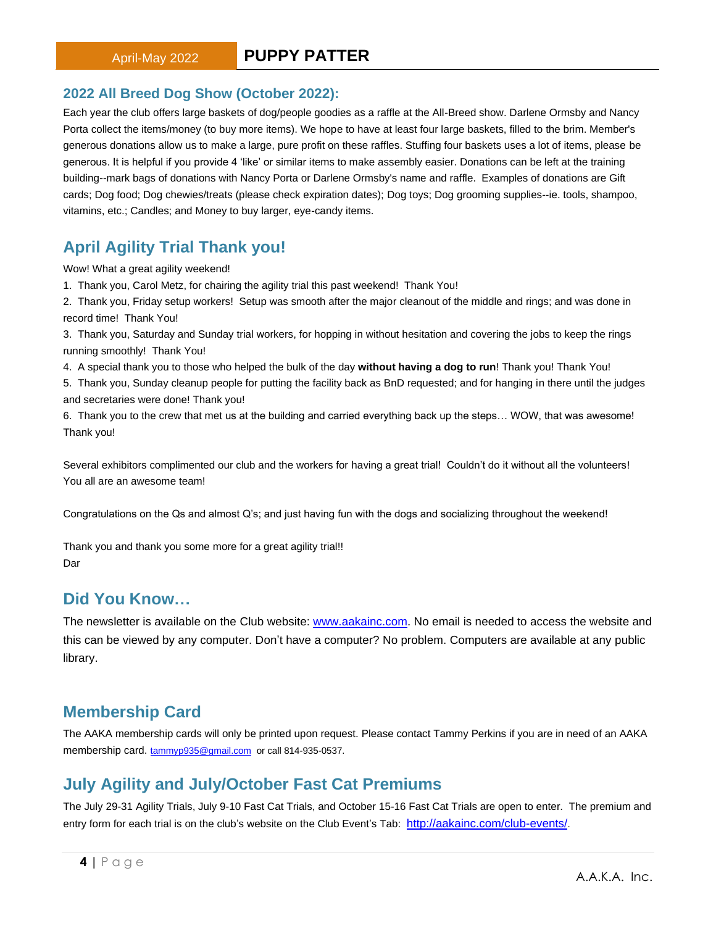# **2022 All Breed Dog Show (October 2022):**

Each year the club offers large baskets of dog/people goodies as a raffle at the All-Breed show. Darlene Ormsby and Nancy Porta collect the items/money (to buy more items). We hope to have at least four large baskets, filled to the brim. Member's generous donations allow us to make a large, pure profit on these raffles. Stuffing four baskets uses a lot of items, please be generous. It is helpful if you provide 4 'like' or similar items to make assembly easier. Donations can be left at the training building--mark bags of donations with Nancy Porta or Darlene Ormsby's name and raffle. Examples of donations are Gift cards; Dog food; Dog chewies/treats (please check expiration dates); Dog toys; Dog grooming supplies--ie. tools, shampoo, vitamins, etc.; Candles; and Money to buy larger, eye-candy items.

# **April Agility Trial Thank you!**

Wow! What a great agility weekend!

- 1. Thank you, Carol Metz, for chairing the agility trial this past weekend! Thank You!
- 2. Thank you, Friday setup workers! Setup was smooth after the major cleanout of the middle and rings; and was done in record time! Thank You!

3. Thank you, Saturday and Sunday trial workers, for hopping in without hesitation and covering the jobs to keep the rings running smoothly! Thank You!

4. A special thank you to those who helped the bulk of the day **without having a dog to run**! Thank you! Thank You!

5. Thank you, Sunday cleanup people for putting the facility back as BnD requested; and for hanging in there until the judges and secretaries were done! Thank you!

6. Thank you to the crew that met us at the building and carried everything back up the steps… WOW, that was awesome! Thank you!

Several exhibitors complimented our club and the workers for having a great trial! Couldn't do it without all the volunteers! You all are an awesome team!

Congratulations on the Qs and almost Q's; and just having fun with the dogs and socializing throughout the weekend!

Thank you and thank you some more for a great agility trial!! Dar

# **Did You Know…**

The newsletter is available on the Club website: [www.aakainc.com.](http://www.aakainc.com/) No email is needed to access the website and this can be viewed by any computer. Don't have a computer? No problem. Computers are available at any public library.

# **Membership Card**

The AAKA membership cards will only be printed upon request. Please contact Tammy Perkins if you are in need of an AAKA membership card. [tammyp935@gmail.com](mailto:tammyp935@gmail.com) or call 814-935-0537.

# **July Agility and July/October Fast Cat Premiums**

The July 29-31 Agility Trials, July 9-10 Fast Cat Trials, and October 15-16 Fast Cat Trials are open to enter. The premium and entry form for each trial is on the club's website on the Club Event's Tab: <http://aakainc.com/club-events/>.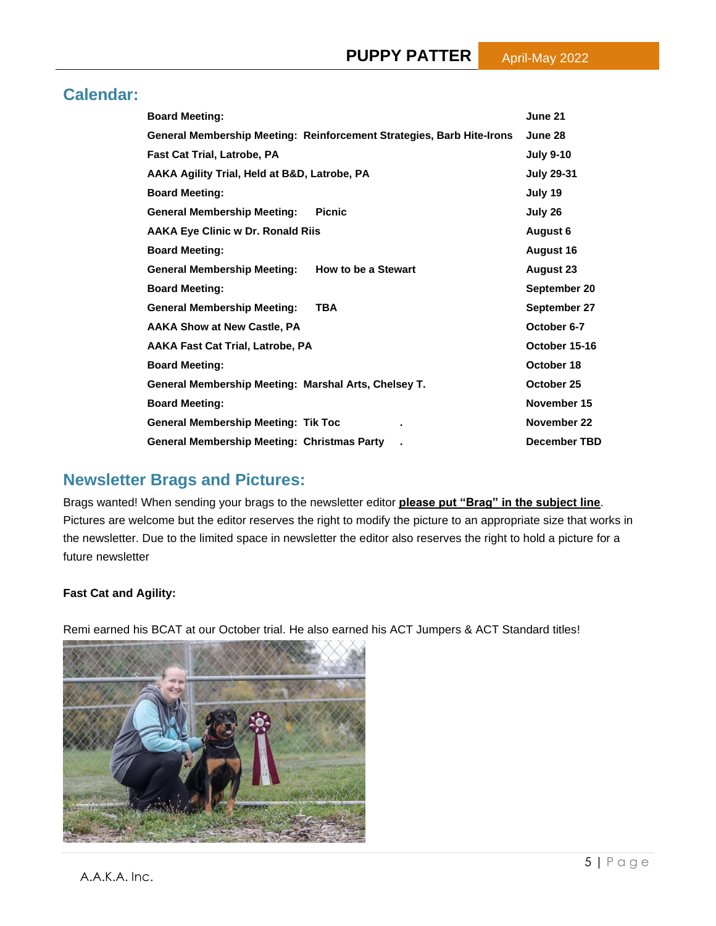# **Calendar:**

| <b>Board Meeting:</b>                                                 | June 21             |
|-----------------------------------------------------------------------|---------------------|
| General Membership Meeting: Reinforcement Strategies, Barb Hite-Irons | June 28             |
| Fast Cat Trial, Latrobe, PA                                           | <b>July 9-10</b>    |
| AAKA Agility Trial, Held at B&D, Latrobe, PA                          | <b>July 29-31</b>   |
| <b>Board Meeting:</b>                                                 | July 19             |
| <b>General Membership Meeting:</b><br><b>Picnic</b>                   | July 26             |
| <b>AAKA Eye Clinic w Dr. Ronald Riis</b>                              | August 6            |
| <b>Board Meeting:</b>                                                 | <b>August 16</b>    |
| <b>General Membership Meeting:</b><br>How to be a Stewart             | <b>August 23</b>    |
| <b>Board Meeting:</b>                                                 | September 20        |
| <b>General Membership Meeting:</b><br><b>TBA</b>                      | September 27        |
| <b>AAKA Show at New Castle, PA</b>                                    | October 6-7         |
| <b>AAKA Fast Cat Trial, Latrobe, PA</b>                               | October 15-16       |
| <b>Board Meeting:</b>                                                 | October 18          |
| General Membership Meeting: Marshal Arts, Chelsey T.                  | October 25          |
| <b>Board Meeting:</b>                                                 | November 15         |
| <b>General Membership Meeting: Tik Toc</b>                            | November 22         |
| <b>General Membership Meeting: Christmas Party</b>                    | <b>December TBD</b> |

# **Newsletter Brags and Pictures:**

Brags wanted! When sending your brags to the newsletter editor **please put "Brag" in the subject line**. Pictures are welcome but the editor reserves the right to modify the picture to an appropriate size that works in the newsletter. Due to the limited space in newsletter the editor also reserves the right to hold a picture for a future newsletter

# **Fast Cat and Agility:**

Remi earned his BCAT at our October trial. He also earned his ACT Jumpers & ACT Standard titles!

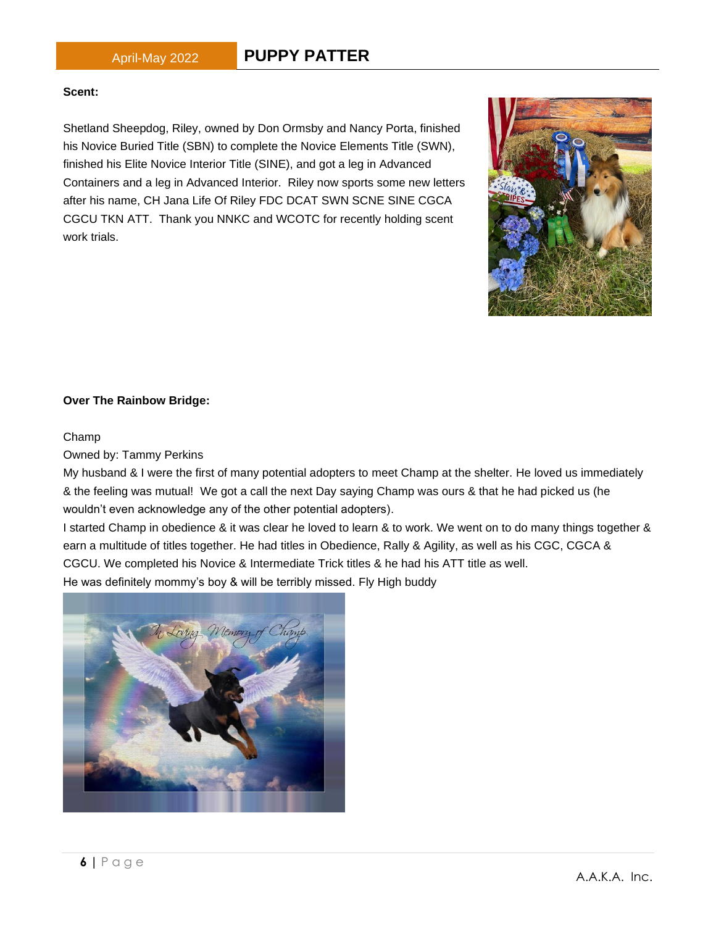# April-May 2022 **PUPPY PATTER**

# **Scent:**

Shetland Sheepdog, Riley, owned by Don Ormsby and Nancy Porta, finished his Novice Buried Title (SBN) to complete the Novice Elements Title (SWN), finished his Elite Novice Interior Title (SINE), and got a leg in Advanced Containers and a leg in Advanced Interior. Riley now sports some new letters after his name, CH Jana Life Of Riley FDC DCAT SWN SCNE SINE CGCA CGCU TKN ATT. Thank you NNKC and WCOTC for recently holding scent work trials.

# **Over The Rainbow Bridge:**

# Champ

Owned by: Tammy Perkins

My husband & I were the first of many potential adopters to meet Champ at the shelter. He loved us immediately & the feeling was mutual! We got a call the next Day saying Champ was ours & that he had picked us (he wouldn't even acknowledge any of the other potential adopters).

I started Champ in obedience & it was clear he loved to learn & to work. We went on to do many things together & earn a multitude of titles together. He had titles in Obedience, Rally & Agility, as well as his CGC, CGCA & CGCU. We completed his Novice & Intermediate Trick titles & he had his ATT title as well. He was definitely mommy's boy & will be terribly missed. Fly High buddy



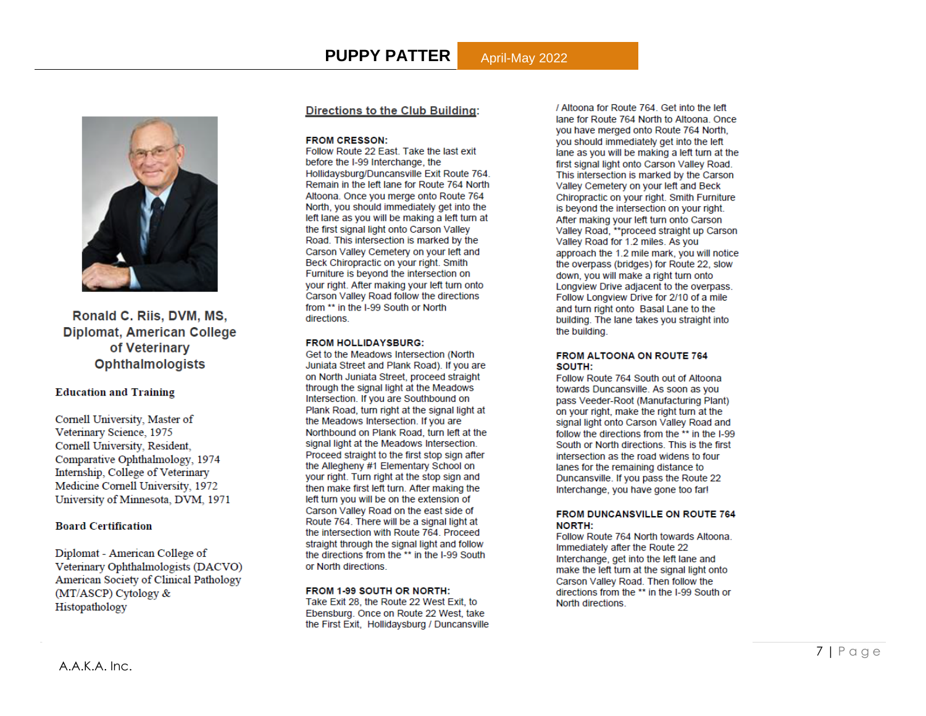

Ronald C. Riis, DVM, MS, **Diplomat, American College** of Veterinary **Ophthalmologists** 

### **Education and Training**

Cornell University, Master of Veterinary Science, 1975 Cornell University, Resident, Comparative Ophthalmology, 1974 Internship, College of Veterinary Medicine Cornell University, 1972 University of Minnesota, DVM, 1971

### **Board Certification**

Diplomat - American College of Veterinary Ophthalmologists (DACVO) **American Society of Clinical Pathology** (MT/ASCP) Cytology & Histopathology

### **Directions to the Club Building:**

### **FROM CRESSON:**

Follow Route 22 East. Take the last exit before the I-99 Interchange, the Hollidaysburg/Duncansville Exit Route 764. Remain in the left lane for Route 764 North Altoona. Once you merge onto Route 764 North, you should immediately get into the left lane as you will be making a left turn at the first signal light onto Carson Valley Road. This intersection is marked by the Carson Valley Cemetery on your left and Beck Chiropractic on your right. Smith Furniture is beyond the intersection on your right. After making your left turn onto Carson Valley Road follow the directions from \*\* in the I-99 South or North directions.

### **FROM HOLLIDAYSBURG:**

Get to the Meadows Intersection (North) Juniata Street and Plank Road). If you are on North Juniata Street, proceed straight through the signal light at the Meadows Intersection. If you are Southbound on Plank Road, turn right at the signal light at the Meadows Intersection. If you are Northbound on Plank Road, turn left at the signal light at the Meadows Intersection. Proceed straight to the first stop sign after the Allegheny #1 Elementary School on your right. Turn right at the stop sign and then make first left turn. After making the left turn you will be on the extension of Carson Valley Road on the east side of Route 764. There will be a signal light at the intersection with Route 764. Proceed straight through the signal light and follow the directions from the \*\* in the I-99 South or North directions.

### FROM 1-99 SOUTH OR NORTH:

Take Exit 28, the Route 22 West Exit, to Ebensburg. Once on Route 22 West, take the First Exit, Hollidaysburg / Duncansville / Altoona for Route 764. Get into the left lane for Route 764 North to Altoona. Once vou have merged onto Route 764 North. you should immediately get into the left lane as you will be making a left turn at the first signal light onto Carson Valley Road. This intersection is marked by the Carson Valley Cemetery on your left and Beck Chiropractic on your right. Smith Furniture is beyond the intersection on your right. After making your left turn onto Carson Valley Road, \*\* proceed straight up Carson Valley Road for 1.2 miles. As you approach the 1.2 mile mark, you will notice the overpass (bridges) for Route 22, slow down, you will make a right turn onto Longview Drive adjacent to the overpass. Follow Longview Drive for 2/10 of a mile and turn right onto Basal Lane to the building. The lane takes you straight into the building.

### **FROM ALTOONA ON ROUTE 764** SOUTH:

Follow Route 764 South out of Altoona towards Duncansville. As soon as you pass Veeder-Root (Manufacturing Plant) on your right, make the right turn at the signal light onto Carson Valley Road and follow the directions from the \*\* in the I-99 South or North directions. This is the first intersection as the road widens to four lanes for the remaining distance to Duncansville. If you pass the Route 22 Interchange, you have gone too far!

### **FROM DUNCANSVILLE ON ROUTE 764 NORTH:**

Follow Route 764 North towards Altoona. Immediately after the Route 22 Interchange, get into the left lane and make the left turn at the signal light onto Carson Valley Road. Then follow the directions from the \*\* in the I-99 South or North directions.